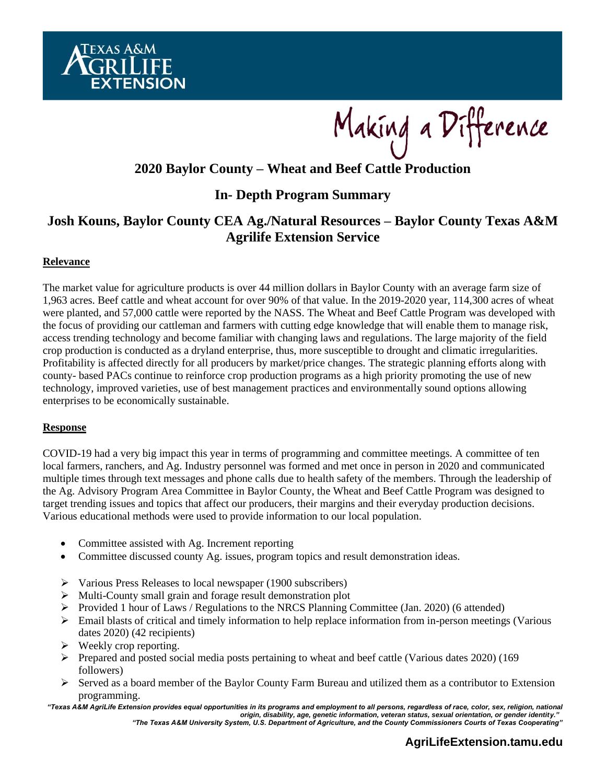

Making a Difference

# **2020 Baylor County – Wheat and Beef Cattle Production**

## **In- Depth Program Summary**

## **Josh Kouns, Baylor County CEA Ag./Natural Resources – Baylor County Texas A&M Agrilife Extension Service**

## **Relevance**

The market value for agriculture products is over 44 million dollars in Baylor County with an average farm size of 1,963 acres. Beef cattle and wheat account for over 90% of that value. In the 2019-2020 year, 114,300 acres of wheat were planted, and 57,000 cattle were reported by the NASS. The Wheat and Beef Cattle Program was developed with the focus of providing our cattleman and farmers with cutting edge knowledge that will enable them to manage risk, access trending technology and become familiar with changing laws and regulations. The large majority of the field crop production is conducted as a dryland enterprise, thus, more susceptible to drought and climatic irregularities. Profitability is affected directly for all producers by market/price changes. The strategic planning efforts along with county- based PACs continue to reinforce crop production programs as a high priority promoting the use of new technology, improved varieties, use of best management practices and environmentally sound options allowing enterprises to be economically sustainable.

### **Response**

COVID-19 had a very big impact this year in terms of programming and committee meetings. A committee of ten local farmers, ranchers, and Ag. Industry personnel was formed and met once in person in 2020 and communicated multiple times through text messages and phone calls due to health safety of the members. Through the leadership of the Ag. Advisory Program Area Committee in Baylor County, the Wheat and Beef Cattle Program was designed to target trending issues and topics that affect our producers, their margins and their everyday production decisions. Various educational methods were used to provide information to our local population.

- Committee assisted with Ag. Increment reporting
- Committee discussed county Ag. issues, program topics and result demonstration ideas.
- ➢ Various Press Releases to local newspaper (1900 subscribers)
- ➢ Multi-County small grain and forage result demonstration plot
- $\triangleright$  Provided 1 hour of Laws / Regulations to the NRCS Planning Committee (Jan. 2020) (6 attended)
- ➢ Email blasts of critical and timely information to help replace information from in-person meetings (Various dates 2020) (42 recipients)
- $\triangleright$  Weekly crop reporting.
- $\triangleright$  Prepared and posted social media posts pertaining to wheat and beef cattle (Various dates 2020) (169) followers)
- $\triangleright$  Served as a board member of the Baylor County Farm Bureau and utilized them as a contributor to Extension programming.

*"Texas A&M AgriLife Extension provides equal opportunities in its programs and employment to all persons, regardless of race, color, sex, religion, national origin, disability, age, genetic information, veteran status, sexual orientation, or gender identity." "The Texas A&M University System, U.S. Department of Agriculture, and the County Commissioners Courts of Texas Cooperating"*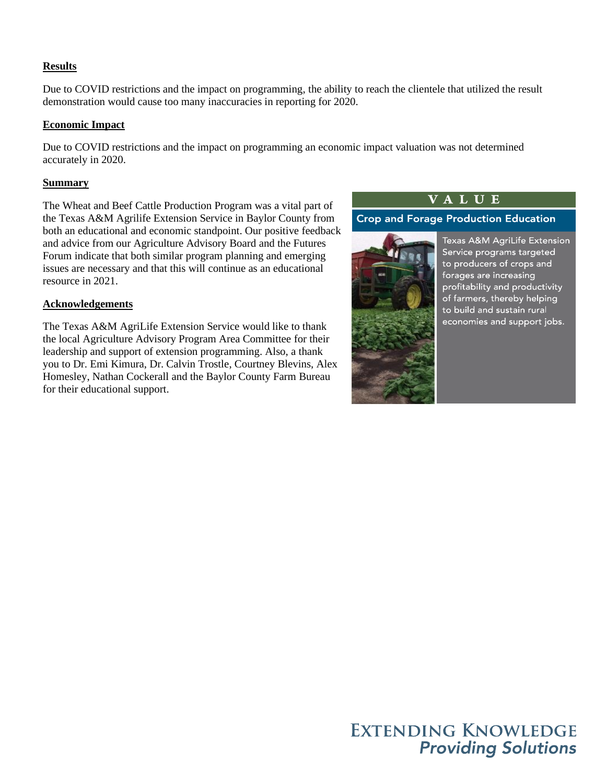## **Results**

Due to COVID restrictions and the impact on programming, the ability to reach the clientele that utilized the result demonstration would cause too many inaccuracies in reporting for 2020.

### **Economic Impact**

Due to COVID restrictions and the impact on programming an economic impact valuation was not determined accurately in 2020.

#### **Summary**

The Wheat and Beef Cattle Production Program was a vital part of the Texas A&M Agrilife Extension Service in Baylor County from both an educational and economic standpoint. Our positive feedback and advice from our Agriculture Advisory Board and the Futures Forum indicate that both similar program planning and emerging issues are necessary and that this will continue as an educational resource in 2021.

#### **Acknowledgements**

The Texas A&M AgriLife Extension Service would like to thank the local Agriculture Advisory Program Area Committee for their leadership and support of extension programming. Also, a thank you to Dr. Emi Kimura, Dr. Calvin Trostle, Courtney Blevins, Alex Homesley, Nathan Cockerall and the Baylor County Farm Bureau for their educational support.

## **VALUE**

**Crop and Forage Production Education** 



Texas A&M AgriLife Extension Service programs targeted to producers of crops and forages are increasing profitability and productivity of farmers, thereby helping to build and sustain rural economies and support jobs.

**EXTENDING KNOWLEDGE Providing Solutions**